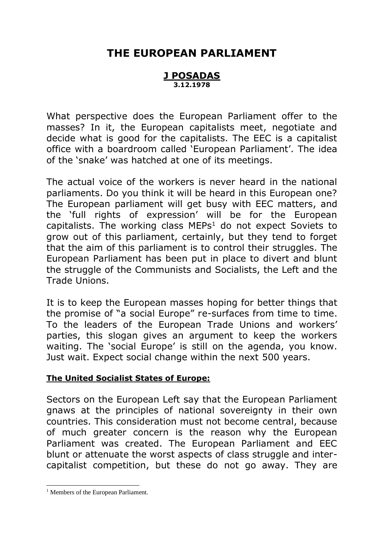# **THE EUROPEAN PARLIAMENT**

#### **J POSADAS 3.12.1978**

What perspective does the European Parliament offer to the masses? In it, the European capitalists meet, negotiate and decide what is good for the capitalists. The EEC is a capitalist office with a boardroom called 'European Parliament'. The idea of the 'snake' was hatched at one of its meetings.

The actual voice of the workers is never heard in the national parliaments. Do you think it will be heard in this European one? The European parliament will get busy with EEC matters, and the 'full rights of expression' will be for the European capitalists. The working class  $MEPs<sup>1</sup>$  do not expect Soviets to grow out of this parliament, certainly, but they tend to forget that the aim of this parliament is to control their struggles. The European Parliament has been put in place to divert and blunt the struggle of the Communists and Socialists, the Left and the Trade Unions.

It is to keep the European masses hoping for better things that the promise of "a social Europe" re-surfaces from time to time. To the leaders of the European Trade Unions and workers' parties, this slogan gives an argument to keep the workers waiting. The 'social Europe' is still on the agenda, you know. Just wait. Expect social change within the next 500 years.

### **The United Socialist States of Europe:**

Sectors on the European Left say that the European Parliament gnaws at the principles of national sovereignty in their own countries. This consideration must not become central, because of much greater concern is the reason why the European Parliament was created. The European Parliament and EEC blunt or attenuate the worst aspects of class struggle and intercapitalist competition, but these do not go away. They are

-

<sup>&</sup>lt;sup>1</sup> Members of the European Parliament.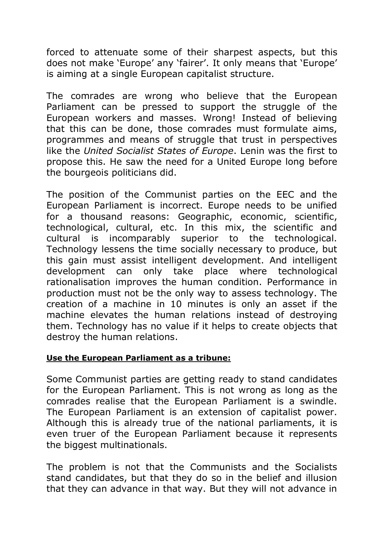forced to attenuate some of their sharpest aspects, but this does not make 'Europe' any 'fairer'. It only means that 'Europe' is aiming at a single European capitalist structure.

The comrades are wrong who believe that the European Parliament can be pressed to support the struggle of the European workers and masses. Wrong! Instead of believing that this can be done, those comrades must formulate aims, programmes and means of struggle that trust in perspectives like the *United Socialist States of Europe*. Lenin was the first to propose this. He saw the need for a United Europe long before the bourgeois politicians did.

The position of the Communist parties on the EEC and the European Parliament is incorrect. Europe needs to be unified for a thousand reasons: Geographic, economic, scientific, technological, cultural, etc. In this mix, the scientific and cultural is incomparably superior to the technological. Technology lessens the time socially necessary to produce, but this gain must assist intelligent development. And intelligent development can only take place where technological rationalisation improves the human condition. Performance in production must not be the only way to assess technology. The creation of a machine in 10 minutes is only an asset if the machine elevates the human relations instead of destroying them. Technology has no value if it helps to create objects that destroy the human relations.

# **Use the European Parliament as a tribune:**

Some Communist parties are getting ready to stand candidates for the European Parliament. This is not wrong as long as the comrades realise that the European Parliament is a swindle. The European Parliament is an extension of capitalist power. Although this is already true of the national parliaments, it is even truer of the European Parliament because it represents the biggest multinationals.

The problem is not that the Communists and the Socialists stand candidates, but that they do so in the belief and illusion that they can advance in that way. But they will not advance in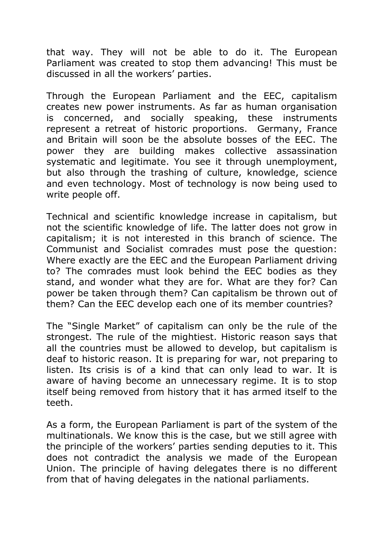that way. They will not be able to do it. The European Parliament was created to stop them advancing! This must be discussed in all the workers' parties.

Through the European Parliament and the EEC, capitalism creates new power instruments. As far as human organisation is concerned, and socially speaking, these instruments represent a retreat of historic proportions. Germany, France and Britain will soon be the absolute bosses of the EEC. The power they are building makes collective assassination systematic and legitimate. You see it through unemployment, but also through the trashing of culture, knowledge, science and even technology. Most of technology is now being used to write people off.

Technical and scientific knowledge increase in capitalism, but not the scientific knowledge of life. The latter does not grow in capitalism; it is not interested in this branch of science. The Communist and Socialist comrades must pose the question: Where exactly are the EEC and the European Parliament driving to? The comrades must look behind the EEC bodies as they stand, and wonder what they are for. What are they for? Can power be taken through them? Can capitalism be thrown out of them? Can the EEC develop each one of its member countries?

The "Single Market" of capitalism can only be the rule of the strongest. The rule of the mightiest. Historic reason says that all the countries must be allowed to develop, but capitalism is deaf to historic reason. It is preparing for war, not preparing to listen. Its crisis is of a kind that can only lead to war. It is aware of having become an unnecessary regime. It is to stop itself being removed from history that it has armed itself to the teeth.

As a form, the European Parliament is part of the system of the multinationals. We know this is the case, but we still agree with the principle of the workers' parties sending deputies to it. This does not contradict the analysis we made of the European Union. The principle of having delegates there is no different from that of having delegates in the national parliaments.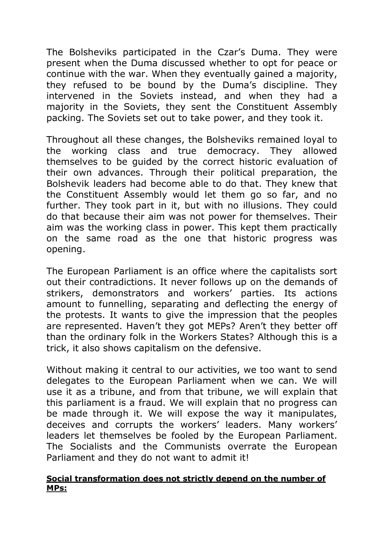The Bolsheviks participated in the Czar's Duma. They were present when the Duma discussed whether to opt for peace or continue with the war. When they eventually gained a majority, they refused to be bound by the Duma's discipline. They intervened in the Soviets instead, and when they had a majority in the Soviets, they sent the Constituent Assembly packing. The Soviets set out to take power, and they took it.

Throughout all these changes, the Bolsheviks remained loyal to the working class and true democracy. They allowed themselves to be guided by the correct historic evaluation of their own advances. Through their political preparation, the Bolshevik leaders had become able to do that. They knew that the Constituent Assembly would let them go so far, and no further. They took part in it, but with no illusions. They could do that because their aim was not power for themselves. Their aim was the working class in power. This kept them practically on the same road as the one that historic progress was opening.

The European Parliament is an office where the capitalists sort out their contradictions. It never follows up on the demands of strikers, demonstrators and workers' parties. Its actions amount to funnelling, separating and deflecting the energy of the protests. It wants to give the impression that the peoples are represented. Haven't they got MEPs? Aren't they better off than the ordinary folk in the Workers States? Although this is a trick, it also shows capitalism on the defensive.

Without making it central to our activities, we too want to send delegates to the European Parliament when we can. We will use it as a tribune, and from that tribune, we will explain that this parliament is a fraud. We will explain that no progress can be made through it. We will expose the way it manipulates, deceives and corrupts the workers' leaders. Many workers' leaders let themselves be fooled by the European Parliament. The Socialists and the Communists overrate the European Parliament and they do not want to admit it!

### **Social transformation does not strictly depend on the number of MPs:**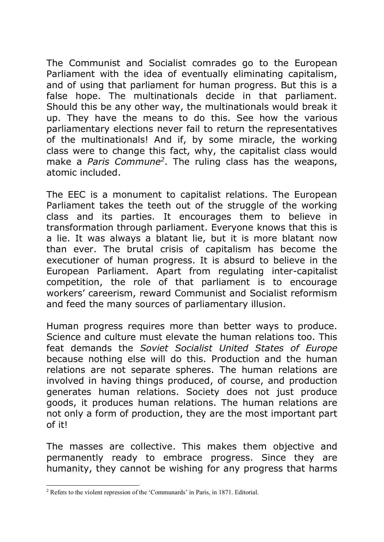The Communist and Socialist comrades go to the European Parliament with the idea of eventually eliminating capitalism, and of using that parliament for human progress. But this is a false hope. The multinationals decide in that parliament. Should this be any other way, the multinationals would break it up. They have the means to do this. See how the various parliamentary elections never fail to return the representatives of the multinationals! And if, by some miracle, the working class were to change this fact, why, the capitalist class would make a *Paris Commune<sup>2</sup>* . The ruling class has the weapons, atomic included.

The EEC is a monument to capitalist relations. The European Parliament takes the teeth out of the struggle of the working class and its parties. It encourages them to believe in transformation through parliament. Everyone knows that this is a lie. It was always a blatant lie, but it is more blatant now than ever. The brutal crisis of capitalism has become the executioner of human progress. It is absurd to believe in the European Parliament. Apart from regulating inter-capitalist competition, the role of that parliament is to encourage workers' careerism, reward Communist and Socialist reformism and feed the many sources of parliamentary illusion.

Human progress requires more than better ways to produce. Science and culture must elevate the human relations too. This feat demands the *Soviet Socialist United States of Europe* because nothing else will do this. Production and the human relations are not separate spheres. The human relations are involved in having things produced, of course, and production generates human relations. Society does not just produce goods, it produces human relations. The human relations are not only a form of production, they are the most important part of it!

The masses are collective. This makes them objective and permanently ready to embrace progress. Since they are humanity, they cannot be wishing for any progress that harms

-

<sup>2</sup> Refers to the violent repression of the 'Communards' in Paris, in 1871. Editorial.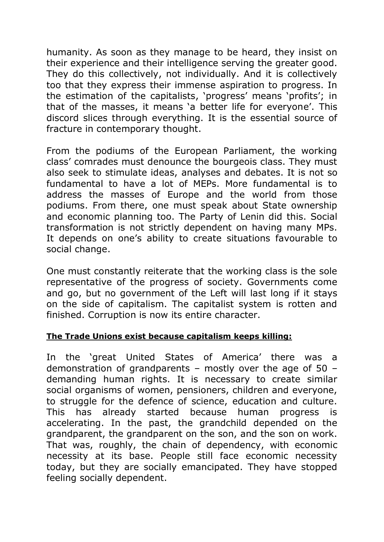humanity. As soon as they manage to be heard, they insist on their experience and their intelligence serving the greater good. They do this collectively, not individually. And it is collectively too that they express their immense aspiration to progress. In the estimation of the capitalists, 'progress' means 'profits'; in that of the masses, it means 'a better life for everyone'. This discord slices through everything. It is the essential source of fracture in contemporary thought.

From the podiums of the European Parliament, the working class' comrades must denounce the bourgeois class. They must also seek to stimulate ideas, analyses and debates. It is not so fundamental to have a lot of MEPs. More fundamental is to address the masses of Europe and the world from those podiums. From there, one must speak about State ownership and economic planning too. The Party of Lenin did this. Social transformation is not strictly dependent on having many MPs. It depends on one's ability to create situations favourable to social change.

One must constantly reiterate that the working class is the sole representative of the progress of society. Governments come and go, but no government of the Left will last long if it stays on the side of capitalism. The capitalist system is rotten and finished. Corruption is now its entire character.

# **The Trade Unions exist because capitalism keeps killing:**

In the 'great United States of America' there was a demonstration of grandparents – mostly over the age of 50 – demanding human rights. It is necessary to create similar social organisms of women, pensioners, children and everyone, to struggle for the defence of science, education and culture. This has already started because human progress is accelerating. In the past, the grandchild depended on the grandparent, the grandparent on the son, and the son on work. That was, roughly, the chain of dependency, with economic necessity at its base. People still face economic necessity today, but they are socially emancipated. They have stopped feeling socially dependent.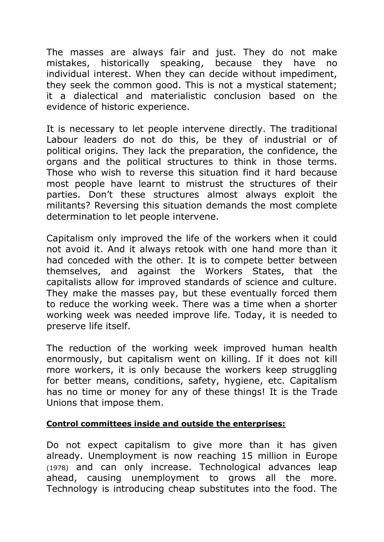The masses are always fair and just. They do not make mistakes, historically speaking, because they have no individual interest. When they can decide without impediment, they seek the common good. This is not a mystical statement; it a dialectical and materialistic conclusion based on the evidence of historic experience.

It is necessary to let people intervene directly. The traditional Labour leaders do not do this, be they of industrial or of political origins. They lack the preparation, the confidence, the organs and the political structures to think in those terms. Those who wish to reverse this situation find it hard because most people have learnt to mistrust the structures of their parties. Don't these structures almost always exploit the militants? Reversing this situation demands the most complete determination to let people intervene.

Capitalism only improved the life of the workers when it could not avoid it. And it always retook with one hand more than it had conceded with the other. It is to compete better between themselves, and against the Workers States, that the capitalists allow for improved standards of science and culture. They make the masses pay, but these eventually forced them to reduce the working week. There was a time when a shorter working week was needed improve life. Today, it is needed to preserve life itself.

The reduction of the working week improved human health enormously, but capitalism went on killing. If it does not kill more workers, it is only because the workers keep struggling for better means, conditions, safety, hygiene, etc. Capitalism has no time or money for any of these things! It is the Trade Unions that impose them.

### **Control committees inside and outside the enterprises:**

Do not expect capitalism to give more than it has given already. Unemployment is now reaching 15 million in Europe (1978) and can only increase. Technological advances leap ahead, causing unemployment to grows all the more. Technology is introducing cheap substitutes into the food. The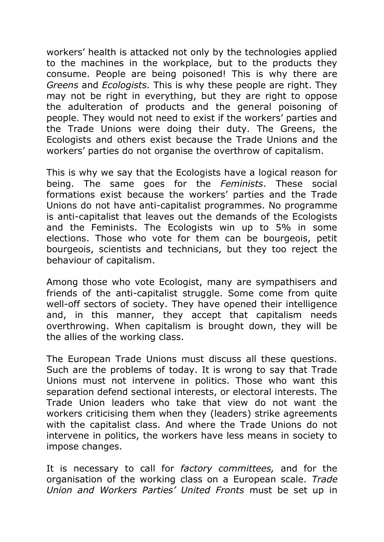workers' health is attacked not only by the technologies applied to the machines in the workplace, but to the products they consume. People are being poisoned! This is why there are *Greens* and *Ecologists.* This is why these people are right. They may not be right in everything, but they are right to oppose the adulteration of products and the general poisoning of people. They would not need to exist if the workers' parties and the Trade Unions were doing their duty. The Greens, the Ecologists and others exist because the Trade Unions and the workers' parties do not organise the overthrow of capitalism.

This is why we say that the Ecologists have a logical reason for being. The same goes for the *Feminists*. These social formations exist because the workers' parties and the Trade Unions do not have anti-capitalist programmes. No programme is anti-capitalist that leaves out the demands of the Ecologists and the Feminists. The Ecologists win up to 5% in some elections. Those who vote for them can be bourgeois, petit bourgeois, scientists and technicians, but they too reject the behaviour of capitalism.

Among those who vote Ecologist, many are sympathisers and friends of the anti-capitalist struggle. Some come from quite well-off sectors of society. They have opened their intelligence and, in this manner, they accept that capitalism needs overthrowing. When capitalism is brought down, they will be the allies of the working class.

The European Trade Unions must discuss all these questions. Such are the problems of today. It is wrong to say that Trade Unions must not intervene in politics. Those who want this separation defend sectional interests, or electoral interests. The Trade Union leaders who take that view do not want the workers criticising them when they (leaders) strike agreements with the capitalist class. And where the Trade Unions do not intervene in politics, the workers have less means in society to impose changes.

It is necessary to call for *factory committees,* and for the organisation of the working class on a European scale. *Trade Union and Workers Parties' United Fronts* must be set up in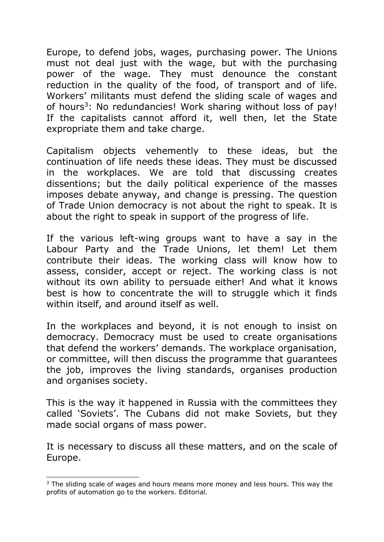Europe, to defend jobs, wages, purchasing power. The Unions must not deal just with the wage, but with the purchasing power of the wage. They must denounce the constant reduction in the quality of the food, of transport and of life. Workers' militants must defend the sliding scale of wages and of hours<sup>3</sup>: No redundancies! Work sharing without loss of pay! If the capitalists cannot afford it, well then, let the State expropriate them and take charge.

Capitalism objects vehemently to these ideas, but the continuation of life needs these ideas. They must be discussed in the workplaces. We are told that discussing creates dissentions; but the daily political experience of the masses imposes debate anyway, and change is pressing. The question of Trade Union democracy is not about the right to speak. It is about the right to speak in support of the progress of life.

If the various left-wing groups want to have a say in the Labour Party and the Trade Unions, let them! Let them contribute their ideas. The working class will know how to assess, consider, accept or reject. The working class is not without its own ability to persuade either! And what it knows best is how to concentrate the will to struggle which it finds within itself, and around itself as well.

In the workplaces and beyond, it is not enough to insist on democracy. Democracy must be used to create organisations that defend the workers' demands. The workplace organisation, or committee, will then discuss the programme that guarantees the job, improves the living standards, organises production and organises society.

This is the way it happened in Russia with the committees they called 'Soviets'. The Cubans did not make Soviets, but they made social organs of mass power.

It is necessary to discuss all these matters, and on the scale of Europe.

<sup>-</sup> $3$  The sliding scale of wages and hours means more money and less hours. This way the profits of automation go to the workers. Editorial.